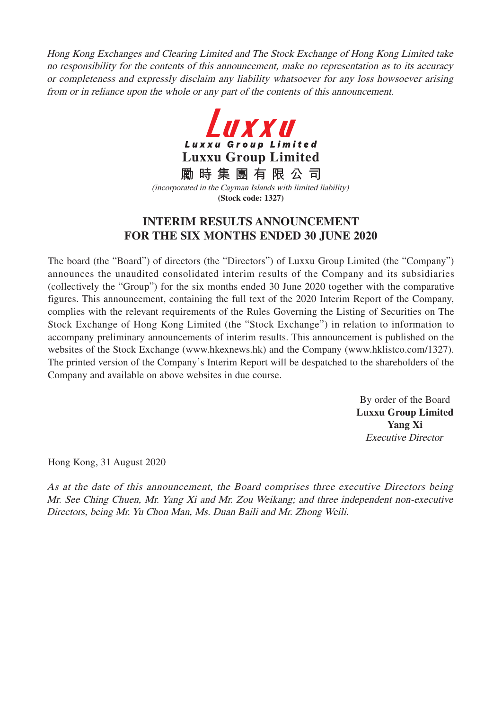Hong Kong Exchanges and Clearing Limited and The Stock Exchange of Hong Kong Limited take no responsibility for the contents of this announcement, make no representation as to its accuracy or completeness and expressly disclaim any liability whatsoever for any loss howsoever arising from or in reliance upon the whole or any part of the contents of this announcement.



**勵時集團有限公司** (incorporated in the Cayman Islands with limited liability) **(Stock code: 1327)**

### **INTERIM RESULTS ANNOUNCEMENT FOR THE SIX MONTHS ENDED 30 JUNE 2020**

The board (the "Board") of directors (the "Directors") of Luxxu Group Limited (the "Company") announces the unaudited consolidated interim results of the Company and its subsidiaries (collectively the "Group") for the six months ended 30 June 2020 together with the comparative figures. This announcement, containing the full text of the 2020 Interim Report of the Company, complies with the relevant requirements of the Rules Governing the Listing of Securities on The Stock Exchange of Hong Kong Limited (the "Stock Exchange") in relation to information to accompany preliminary announcements of interim results. This announcement is published on the websites of the Stock Exchange (www.hkexnews.hk) and the Company (www.hklistco.com/1327). The printed version of the Company's Interim Report will be despatched to the shareholders of the Company and available on above websites in due course.

> By order of the Board **Luxxu Group Limited Yang Xi** Executive Director

Hong Kong, 31 August 2020

As at the date of this announcement, the Board comprises three executive Directors being Mr. See Ching Chuen, Mr. Yang Xi and Mr. Zou Weikang; and three independent non-executive Directors, being Mr. Yu Chon Man, Ms. Duan Baili and Mr. Zhong Weili.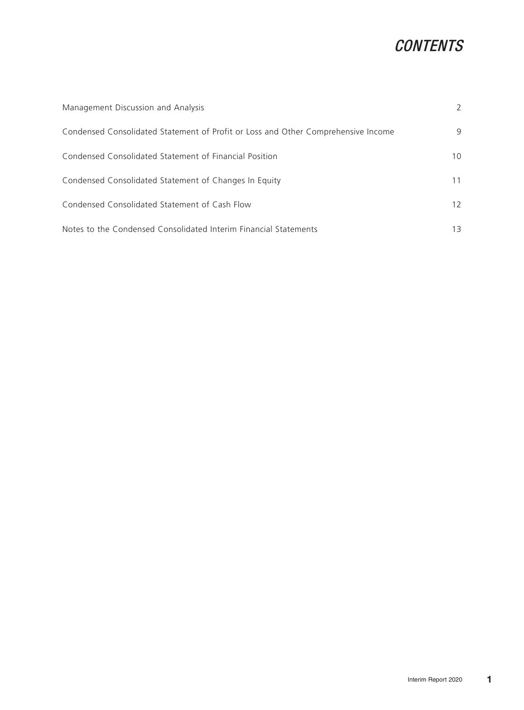# **CONTENTS**

| Management Discussion and Analysis                                                | 2               |
|-----------------------------------------------------------------------------------|-----------------|
| Condensed Consolidated Statement of Profit or Loss and Other Comprehensive Income | 9               |
| Condensed Consolidated Statement of Financial Position                            | 10 <sup>1</sup> |
| Condensed Consolidated Statement of Changes In Equity                             | 11              |
| Condensed Consolidated Statement of Cash Flow                                     | 12              |
| Notes to the Condensed Consolidated Interim Financial Statements                  | 13              |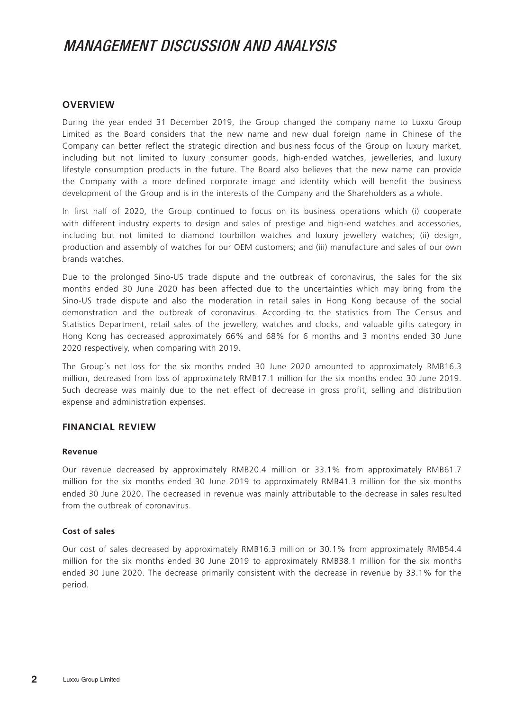#### **OVERVIEW**

During the year ended 31 December 2019, the Group changed the company name to Luxxu Group Limited as the Board considers that the new name and new dual foreign name in Chinese of the Company can better reflect the strategic direction and business focus of the Group on luxury market, including but not limited to luxury consumer goods, high-ended watches, jewelleries, and luxury lifestyle consumption products in the future. The Board also believes that the new name can provide the Company with a more defined corporate image and identity which will benefit the business development of the Group and is in the interests of the Company and the Shareholders as a whole.

In first half of 2020, the Group continued to focus on its business operations which (i) cooperate with different industry experts to design and sales of prestige and high-end watches and accessories, including but not limited to diamond tourbillon watches and luxury jewellery watches; (ii) design, production and assembly of watches for our OEM customers; and (iii) manufacture and sales of our own brands watches.

Due to the prolonged Sino-US trade dispute and the outbreak of coronavirus, the sales for the six months ended 30 June 2020 has been affected due to the uncertainties which may bring from the Sino-US trade dispute and also the moderation in retail sales in Hong Kong because of the social demonstration and the outbreak of coronavirus. According to the statistics from The Census and Statistics Department, retail sales of the jewellery, watches and clocks, and valuable gifts category in Hong Kong has decreased approximately 66% and 68% for 6 months and 3 months ended 30 June 2020 respectively, when comparing with 2019.

The Group's net loss for the six months ended 30 June 2020 amounted to approximately RMB16.3 million, decreased from loss of approximately RMB17.1 million for the six months ended 30 June 2019. Such decrease was mainly due to the net effect of decrease in gross profit, selling and distribution expense and administration expenses.

#### **FINANCIAL REVIEW**

#### **Revenue**

Our revenue decreased by approximately RMB20.4 million or 33.1% from approximately RMB61.7 million for the six months ended 30 June 2019 to approximately RMB41.3 million for the six months ended 30 June 2020. The decreased in revenue was mainly attributable to the decrease in sales resulted from the outbreak of coronavirus.

#### **Cost of sales**

Our cost of sales decreased by approximately RMB16.3 million or 30.1% from approximately RMB54.4 million for the six months ended 30 June 2019 to approximately RMB38.1 million for the six months ended 30 June 2020. The decrease primarily consistent with the decrease in revenue by 33.1% for the period.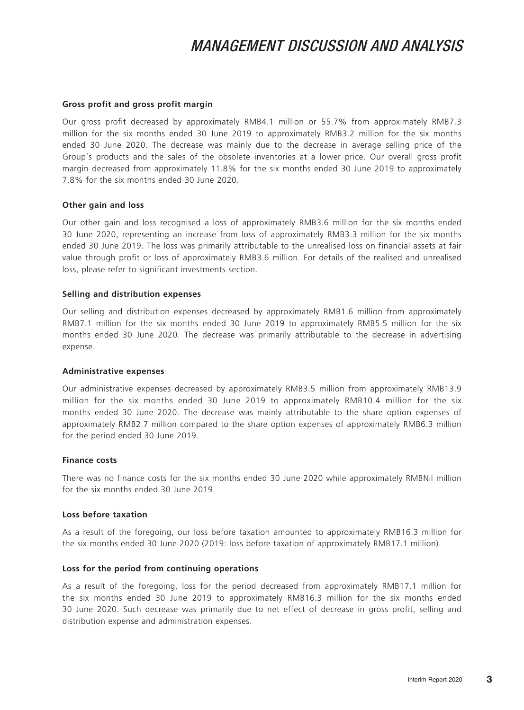#### **Gross profit and gross profit margin**

Our gross profit decreased by approximately RMB4.1 million or 55.7% from approximately RMB7.3 million for the six months ended 30 June 2019 to approximately RMB3.2 million for the six months ended 30 June 2020. The decrease was mainly due to the decrease in average selling price of the Group's products and the sales of the obsolete inventories at a lower price. Our overall gross profit margin decreased from approximately 11.8% for the six months ended 30 June 2019 to approximately 7.8% for the six months ended 30 June 2020.

#### **Other gain and loss**

Our other gain and loss recognised a loss of approximately RMB3.6 million for the six months ended 30 June 2020, representing an increase from loss of approximately RMB3.3 million for the six months ended 30 June 2019. The loss was primarily attributable to the unrealised loss on financial assets at fair value through profit or loss of approximately RMB3.6 million. For details of the realised and unrealised loss, please refer to significant investments section.

#### **Selling and distribution expenses**

Our selling and distribution expenses decreased by approximately RMB1.6 million from approximately RMB7.1 million for the six months ended 30 June 2019 to approximately RMB5.5 million for the six months ended 30 June 2020. The decrease was primarily attributable to the decrease in advertising expense.

#### **Administrative expenses**

Our administrative expenses decreased by approximately RMB3.5 million from approximately RMB13.9 million for the six months ended 30 June 2019 to approximately RMB10.4 million for the six months ended 30 June 2020. The decrease was mainly attributable to the share option expenses of approximately RMB2.7 million compared to the share option expenses of approximately RMB6.3 million for the period ended 30 June 2019.

#### **Finance costs**

There was no finance costs for the six months ended 30 June 2020 while approximately RMBNil million for the six months ended 30 June 2019.

#### **Loss before taxation**

As a result of the foregoing, our loss before taxation amounted to approximately RMB16.3 million for the six months ended 30 June 2020 (2019: loss before taxation of approximately RMB17.1 million).

#### **Loss for the period from continuing operations**

As a result of the foregoing, loss for the period decreased from approximately RMB17.1 million for the six months ended 30 June 2019 to approximately RMB16.3 million for the six months ended 30 June 2020. Such decrease was primarily due to net effect of decrease in gross profit, selling and distribution expense and administration expenses.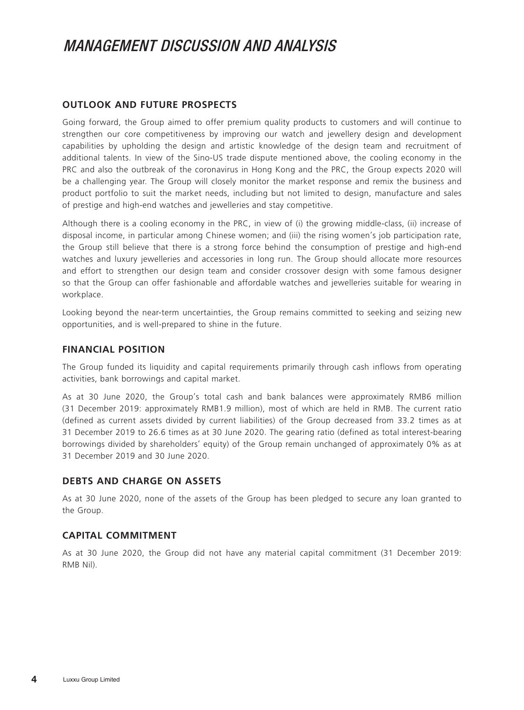#### **OUTLOOK AND FUTURE PROSPECTS**

Going forward, the Group aimed to offer premium quality products to customers and will continue to strengthen our core competitiveness by improving our watch and jewellery design and development capabilities by upholding the design and artistic knowledge of the design team and recruitment of additional talents. In view of the Sino-US trade dispute mentioned above, the cooling economy in the PRC and also the outbreak of the coronavirus in Hong Kong and the PRC, the Group expects 2020 will be a challenging year. The Group will closely monitor the market response and remix the business and product portfolio to suit the market needs, including but not limited to design, manufacture and sales of prestige and high-end watches and jewelleries and stay competitive.

Although there is a cooling economy in the PRC, in view of (i) the growing middle-class, (ii) increase of disposal income, in particular among Chinese women; and (iii) the rising women's job participation rate, the Group still believe that there is a strong force behind the consumption of prestige and high-end watches and luxury jewelleries and accessories in long run. The Group should allocate more resources and effort to strengthen our design team and consider crossover design with some famous designer so that the Group can offer fashionable and affordable watches and jewelleries suitable for wearing in workplace.

Looking beyond the near-term uncertainties, the Group remains committed to seeking and seizing new opportunities, and is well-prepared to shine in the future.

#### **FINANCIAL POSITION**

The Group funded its liquidity and capital requirements primarily through cash inflows from operating activities, bank borrowings and capital market.

As at 30 June 2020, the Group's total cash and bank balances were approximately RMB6 million (31 December 2019: approximately RMB1.9 million), most of which are held in RMB. The current ratio (defined as current assets divided by current liabilities) of the Group decreased from 33.2 times as at 31 December 2019 to 26.6 times as at 30 June 2020. The gearing ratio (defined as total interest-bearing borrowings divided by shareholders' equity) of the Group remain unchanged of approximately 0% as at 31 December 2019 and 30 June 2020.

#### **DEBTS AND CHARGE ON ASSETS**

As at 30 June 2020, none of the assets of the Group has been pledged to secure any loan granted to the Group.

#### **CAPITAL COMMITMENT**

As at 30 June 2020, the Group did not have any material capital commitment (31 December 2019: RMB Nil).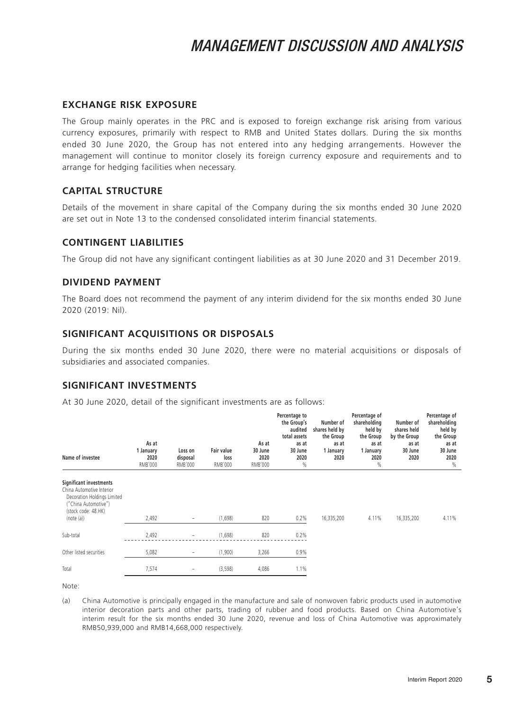#### **EXCHANGE RISK EXPOSURE**

The Group mainly operates in the PRC and is exposed to foreign exchange risk arising from various currency exposures, primarily with respect to RMB and United States dollars. During the six months ended 30 June 2020, the Group has not entered into any hedging arrangements. However the management will continue to monitor closely its foreign currency exposure and requirements and to arrange for hedging facilities when necessary.

#### **CAPITAL STRUCTURE**

Details of the movement in share capital of the Company during the six months ended 30 June 2020 are set out in Note 13 to the condensed consolidated interim financial statements.

#### **CONTINGENT LIABILITIES**

The Group did not have any significant contingent liabilities as at 30 June 2020 and 31 December 2019.

#### **DIVIDEND PAYMENT**

The Board does not recommend the payment of any interim dividend for the six months ended 30 June 2020 (2019: Nil).

#### **SIGNIFICANT ACQUISITIONS OR DISPOSALS**

During the six months ended 30 June 2020, there were no material acquisitions or disposals of subsidiaries and associated companies.

#### **SIGNIFICANT INVESTMENTS**

At 30 June 2020, detail of the significant investments are as follows:

| Name of investee                                                                                                                                | As at<br>1 January<br>2020<br>RMB'000 | Loss on<br>disposal<br>RMB'000 | <b>Fair value</b><br>loss<br>RMB'000 | As at<br>30 June<br>2020<br>RMB'000 | Percentage to<br>the Group's<br>audited<br>total assets<br>as at<br>30 June<br>2020<br>$\%$ | Number of<br>shares held by<br>the Group<br>as at<br>1 January<br>2020 | Percentage of<br>shareholding<br>held by<br>the Group<br>as at<br>1 January<br>2020<br>% | Number of<br>shares held<br>by the Group<br>as at<br>30 June<br>2020 | Percentage of<br>shareholding<br>held by<br>the Group<br>as at<br>30 June<br>2020<br>$\%$ |
|-------------------------------------------------------------------------------------------------------------------------------------------------|---------------------------------------|--------------------------------|--------------------------------------|-------------------------------------|---------------------------------------------------------------------------------------------|------------------------------------------------------------------------|------------------------------------------------------------------------------------------|----------------------------------------------------------------------|-------------------------------------------------------------------------------------------|
| Significant investments<br>China Automotive Interior<br>Decoration Holdings Limited<br>"China Automotive")<br>(stock code: 48.HK)<br>(note (a)) | 2,492                                 | $\overline{\phantom{a}}$       | (1,698)                              | 820                                 | 0.2%                                                                                        | 16,335,200                                                             | 4.11%                                                                                    | 16,335,200                                                           | 4.11%                                                                                     |
| Sub-total                                                                                                                                       | 2,492                                 | $\overline{\phantom{a}}$       | (1,698)                              | 820                                 | 0.2%                                                                                        |                                                                        |                                                                                          |                                                                      |                                                                                           |
| Other listed securities                                                                                                                         | 5,082                                 | $\overline{\phantom{a}}$       | (1,900)                              | 3,266                               | 0.9%                                                                                        |                                                                        |                                                                                          |                                                                      |                                                                                           |
| Total                                                                                                                                           | 7,574                                 | -                              | (3,598)                              | 4,086                               | 1.1%                                                                                        |                                                                        |                                                                                          |                                                                      |                                                                                           |

Note:

(a) China Automotive is principally engaged in the manufacture and sale of nonwoven fabric products used in automotive interior decoration parts and other parts, trading of rubber and food products. Based on China Automotive's interim result for the six months ended 30 June 2020, revenue and loss of China Automotive was approximately RMB50,939,000 and RMB14,668,000 respectively.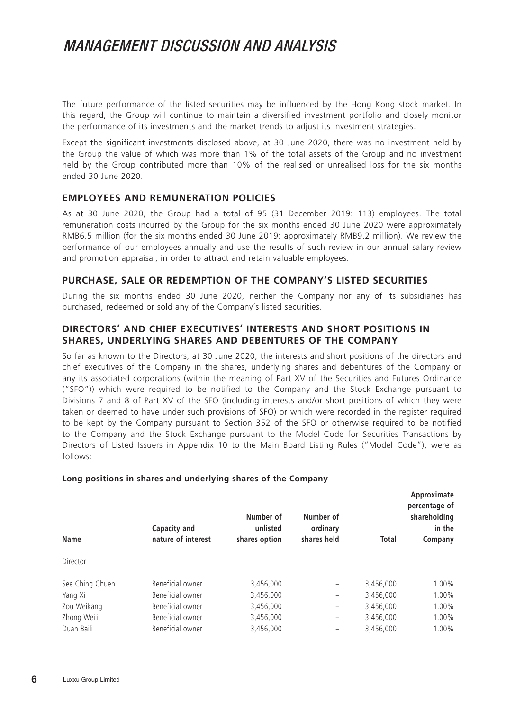The future performance of the listed securities may be influenced by the Hong Kong stock market. In this regard, the Group will continue to maintain a diversified investment portfolio and closely monitor the performance of its investments and the market trends to adjust its investment strategies.

Except the significant investments disclosed above, at 30 June 2020, there was no investment held by the Group the value of which was more than 1% of the total assets of the Group and no investment held by the Group contributed more than 10% of the realised or unrealised loss for the six months ended 30 June 2020.

#### **EMPLOYEES AND REMUNERATION POLICIES**

As at 30 June 2020, the Group had a total of 95 (31 December 2019: 113) employees. The total remuneration costs incurred by the Group for the six months ended 30 June 2020 were approximately RMB6.5 million (for the six months ended 30 June 2019: approximately RMB9.2 million). We review the performance of our employees annually and use the results of such review in our annual salary review and promotion appraisal, in order to attract and retain valuable employees.

#### **PURCHASE, SALE OR REDEMPTION OF THE COMPANY'S LISTED SECURITIES**

During the six months ended 30 June 2020, neither the Company nor any of its subsidiaries has purchased, redeemed or sold any of the Company's listed securities.

#### **DIRECTORS' AND CHIEF EXECUTIVES' INTERESTS AND SHORT POSITIONS IN SHARES, UNDERLYING SHARES AND DEBENTURES OF THE COMPANY**

So far as known to the Directors, at 30 June 2020, the interests and short positions of the directors and chief executives of the Company in the shares, underlying shares and debentures of the Company or any its associated corporations (within the meaning of Part XV of the Securities and Futures Ordinance ("SFO")) which were required to be notified to the Company and the Stock Exchange pursuant to Divisions 7 and 8 of Part XV of the SFO (including interests and/or short positions of which they were taken or deemed to have under such provisions of SFO) or which were recorded in the register required to be kept by the Company pursuant to Section 352 of the SFO or otherwise required to be notified to the Company and the Stock Exchange pursuant to the Model Code for Securities Transactions by Directors of Listed Issuers in Appendix 10 to the Main Board Listing Rules ("Model Code"), were as follows:

**Approximate** 

| <b>Name</b>     | Capacity and<br>nature of interest | Number of<br>unlisted<br>shares option | Number of<br>ordinary<br>shares held | Total     | <b>APPIVAIIIIULU</b><br>percentage of<br>shareholding<br>in the<br>Company |
|-----------------|------------------------------------|----------------------------------------|--------------------------------------|-----------|----------------------------------------------------------------------------|
| Director        |                                    |                                        |                                      |           |                                                                            |
| See Ching Chuen | Beneficial owner                   | 3,456,000                              | -                                    | 3,456,000 | 1.00%                                                                      |
| Yang Xi         | Beneficial owner                   | 3,456,000                              | -                                    | 3,456,000 | 1.00%                                                                      |
| Zou Weikang     | Beneficial owner                   | 3,456,000                              | -                                    | 3,456,000 | 1.00%                                                                      |
| Zhong Weili     | Beneficial owner                   | 3,456,000                              | -                                    | 3,456,000 | 1.00%                                                                      |
| Duan Baili      | Beneficial owner                   | 3,456,000                              |                                      | 3,456,000 | 1.00%                                                                      |

#### **Long positions in shares and underlying shares of the Company**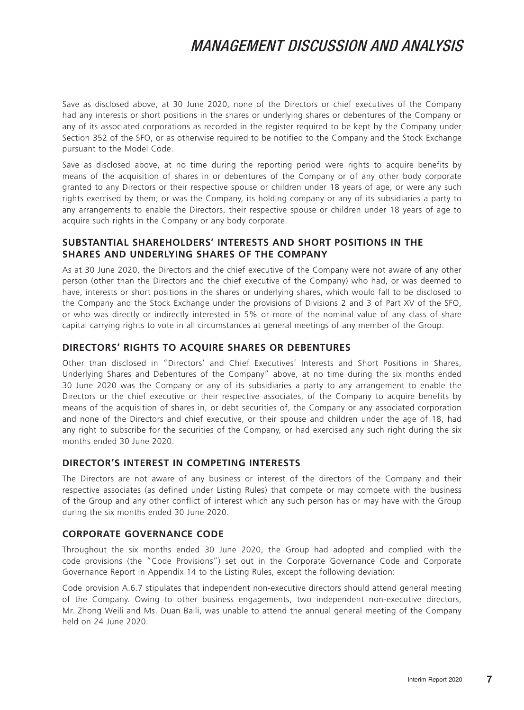Save as disclosed above, at 30 June 2020, none of the Directors or chief executives of the Company had any interests or short positions in the shares or underlying shares or debentures of the Company or any of its associated corporations as recorded in the register required to be kept by the Company under Section 352 of the SFO, or as otherwise required to be notified to the Company and the Stock Exchange pursuant to the Model Code.

Save as disclosed above, at no time during the reporting period were rights to acquire benefits by means of the acquisition of shares in or debentures of the Company or of any other body corporate granted to any Directors or their respective spouse or children under 18 years of age, or were any such rights exercised by them; or was the Company, its holding company or any of its subsidiaries a party to any arrangements to enable the Directors, their respective spouse or children under 18 years of age to acquire such rights in the Company or any body corporate.

#### **SUBSTANTIAL SHAREHOLDERS' INTERESTS AND SHORT POSITIONS IN THE SHARES AND UNDERLYING SHARES OF THE COMPANY**

As at 30 June 2020, the Directors and the chief executive of the Company were not aware of any other person (other than the Directors and the chief executive of the Company) who had, or was deemed to have, interests or short positions in the shares or underlying shares, which would fall to be disclosed to the Company and the Stock Exchange under the provisions of Divisions 2 and 3 of Part XV of the SFO, or who was directly or indirectly interested in 5% or more of the nominal value of any class of share capital carrying rights to vote in all circumstances at general meetings of any member of the Group.

#### **DIRECTORS' RIGHTS TO ACQUIRE SHARES OR DEBENTURES**

Other than disclosed in "Directors' and Chief Executives' Interests and Short Positions in Shares, Underlying Shares and Debentures of the Company" above, at no time during the six months ended 30 June 2020 was the Company or any of its subsidiaries a party to any arrangement to enable the Directors or the chief executive or their respective associates, of the Company to acquire benefits by means of the acquisition of shares in, or debt securities of, the Company or any associated corporation and none of the Directors and chief executive, or their spouse and children under the age of 18, had any right to subscribe for the securities of the Company, or had exercised any such right during the six months ended 30 June 2020.

#### **DIRECTOR'S INTEREST IN COMPETING INTERESTS**

The Directors are not aware of any business or interest of the directors of the Company and their respective associates (as defined under Listing Rules) that compete or may compete with the business of the Group and any other conflict of interest which any such person has or may have with the Group during the six months ended 30 June 2020.

#### **CORPORATE GOVERNANCE CODE**

Throughout the six months ended 30 June 2020, the Group had adopted and complied with the code provisions (the "Code Provisions") set out in the Corporate Governance Code and Corporate Governance Report in Appendix 14 to the Listing Rules, except the following deviation:

Code provision A.6.7 stipulates that independent non-executive directors should attend general meeting of the Company. Owing to other business engagements, two independent non-executive directors, Mr. Zhong Weili and Ms. Duan Baili, was unable to attend the annual general meeting of the Company held on 24 June 2020.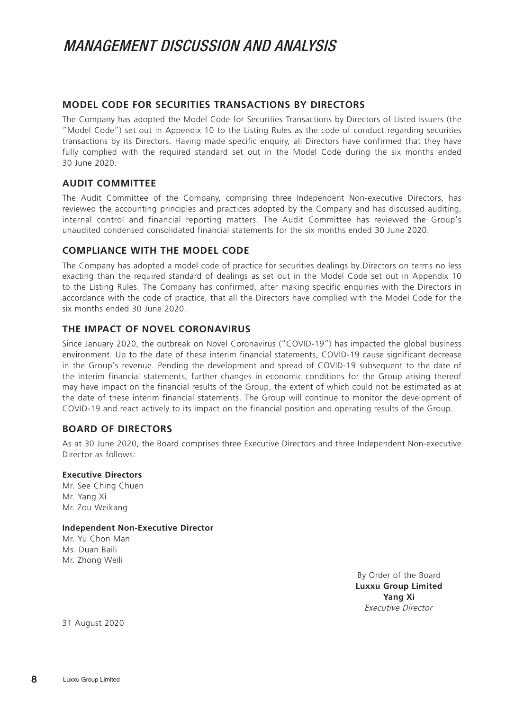#### **MODEL CODE FOR SECURITIES TRANSACTIONS BY DIRECTORS**

The Company has adopted the Model Code for Securities Transactions by Directors of Listed Issuers (the "Model Code") set out in Appendix 10 to the Listing Rules as the code of conduct regarding securities transactions by its Directors. Having made specific enquiry, all Directors have confirmed that they have fully complied with the required standard set out in the Model Code during the six months ended 30 June 2020.

#### **AUDIT COMMITTEE**

The Audit Committee of the Company, comprising three Independent Non-executive Directors, has reviewed the accounting principles and practices adopted by the Company and has discussed auditing, internal control and financial reporting matters. The Audit Committee has reviewed the Group's unaudited condensed consolidated financial statements for the six months ended 30 June 2020.

#### **COMPLIANCE WITH THE MODEL CODE**

The Company has adopted a model code of practice for securities dealings by Directors on terms no less exacting than the required standard of dealings as set out in the Model Code set out in Appendix 10 to the Listing Rules. The Company has confirmed, after making specific enquiries with the Directors in accordance with the code of practice, that all the Directors have complied with the Model Code for the six months ended 30 June 2020.

#### **THE IMPACT OF NOVEL CORONAVIRUS**

Since January 2020, the outbreak on Novel Coronavirus ("COVID-19") has impacted the global business environment. Up to the date of these interim financial statements, COVID-19 cause significant decrease in the Group's revenue. Pending the development and spread of COVID-19 subsequent to the date of the interim financial statements, further changes in economic conditions for the Group arising thereof may have impact on the financial results of the Group, the extent of which could not be estimated as at the date of these interim financial statements. The Group will continue to monitor the development of COVID-19 and react actively to its impact on the financial position and operating results of the Group.

#### **BOARD OF DIRECTORS**

As at 30 June 2020, the Board comprises three Executive Directors and three Independent Non-executive Director as follows:

#### **Executive Directors**

Mr. See Ching Chuen Mr. Yang Xi Mr. Zou Weikang

#### **Independent Non-Executive Director**

Mr. Yu Chon Man Ms. Duan Baili Mr. Zhong Weili

> By Order of the Board **Luxxu Group Limited Yang Xi** Executive Director

31 August 2020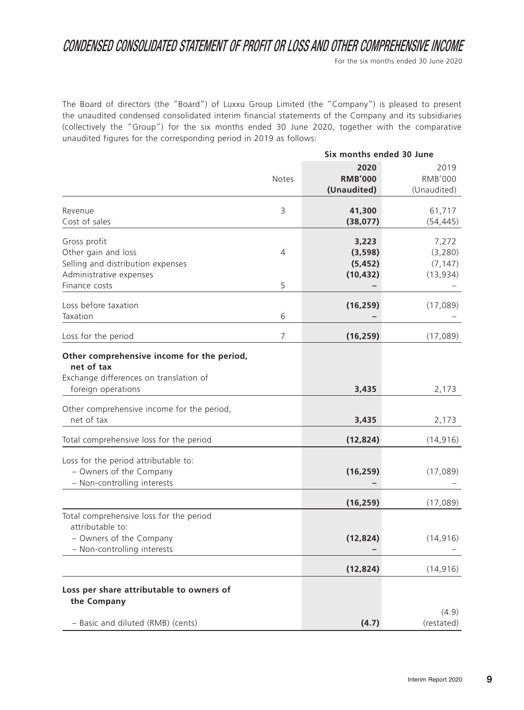### CONDENSED CONSOLIDATED STATEMENT OF PROFIT OR LOSS AND OTHER COMPREHENSIVE INCOME

For the six months ended 30 June 2020

The Board of directors (the "Board") of Luxxu Group Limited (the "Company") is pleased to present the unaudited condensed consolidated interim financial statements of the Company and its subsidiaries (collectively the "Group") for the six months ended 30 June 2020, together with the comparative unaudited figures for the corresponding period in 2019 as follows:

|                                                                                                                                                                                      | Six months ended 30 June |                                           |                                           |
|--------------------------------------------------------------------------------------------------------------------------------------------------------------------------------------|--------------------------|-------------------------------------------|-------------------------------------------|
|                                                                                                                                                                                      | Notes                    | 2020<br><b>RMB'000</b><br>(Unaudited)     | 2019<br><b>RMB'000</b><br>(Unaudited)     |
| Revenue<br>Cost of sales                                                                                                                                                             | 3                        | 41,300<br>(38,077)                        | 61,717<br>(54, 445)                       |
| Gross profit<br>Other gain and loss<br>Selling and distribution expenses<br>Administrative expenses<br>Finance costs                                                                 | 4<br>5                   | 3,223<br>(3,598)<br>(5, 452)<br>(10, 432) | 7,272<br>(3, 280)<br>(7, 147)<br>(13,934) |
| Loss before taxation<br>Taxation                                                                                                                                                     | 6                        | (16, 259)                                 | (17,089)                                  |
| Loss for the period                                                                                                                                                                  | $\overline{7}$           | (16, 259)                                 | (17,089)                                  |
| Other comprehensive income for the period,<br>net of tax<br>Exchange differences on translation of<br>foreign operations<br>Other comprehensive income for the period,<br>net of tax |                          | 3,435<br>3,435                            | 2,173<br>2,173                            |
| Total comprehensive loss for the period                                                                                                                                              |                          | (12, 824)                                 | (14, 916)                                 |
| Loss for the period attributable to:<br>- Owners of the Company<br>- Non-controlling interests                                                                                       |                          | (16, 259)                                 | (17,089)                                  |
|                                                                                                                                                                                      |                          | (16, 259)                                 | (17,089)                                  |
| Total comprehensive loss for the period<br>attributable to:<br>- Owners of the Company<br>- Non-controlling interests                                                                |                          | (12, 824)                                 | (14, 916)                                 |
|                                                                                                                                                                                      |                          | (12, 824)                                 | (14, 916)                                 |
| Loss per share attributable to owners of<br>the Company<br>- Basic and diluted (RMB) (cents)                                                                                         |                          | (4.7)                                     | (4.9)<br>(restated)                       |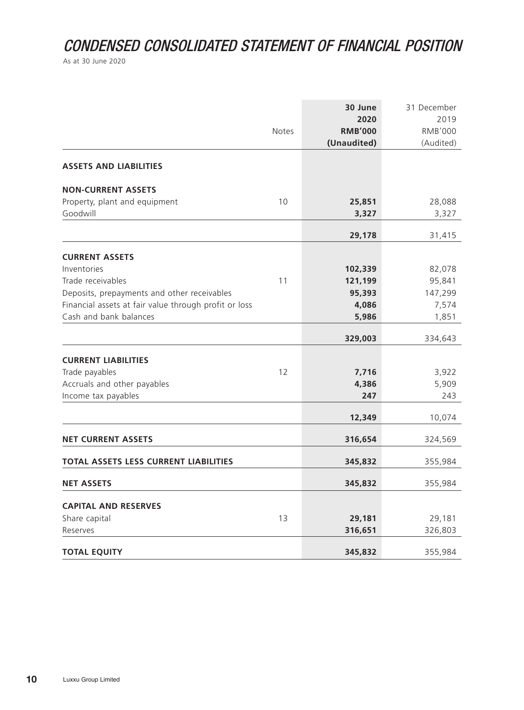# CONDENSED CONSOLIDATED STATEMENT OF FINANCIAL POSITION

As at 30 June 2020

|                                                       | Notes | 30 June<br>2020<br><b>RMB'000</b><br>(Unaudited) | 31 December<br>2019<br><b>RMB'000</b><br>(Audited) |
|-------------------------------------------------------|-------|--------------------------------------------------|----------------------------------------------------|
| <b>ASSETS AND LIABILITIES</b>                         |       |                                                  |                                                    |
| <b>NON-CURRENT ASSETS</b>                             |       |                                                  |                                                    |
| Property, plant and equipment<br>Goodwill             | 10    | 25,851<br>3,327                                  | 28,088<br>3,327                                    |
|                                                       |       | 29,178                                           | 31,415                                             |
| <b>CURRENT ASSETS</b>                                 |       |                                                  |                                                    |
| Inventories                                           |       | 102,339                                          | 82,078                                             |
| Trade receivables                                     | 11    | 121,199                                          | 95,841                                             |
| Deposits, prepayments and other receivables           |       | 95,393                                           | 147,299                                            |
| Financial assets at fair value through profit or loss |       | 4,086                                            | 7,574                                              |
| Cash and bank balances                                |       | 5,986                                            | 1,851                                              |
|                                                       |       | 329,003                                          | 334,643                                            |
| <b>CURRENT LIABILITIES</b>                            |       |                                                  |                                                    |
| Trade payables                                        | 12    | 7,716                                            | 3,922                                              |
| Accruals and other payables                           |       | 4,386                                            | 5,909                                              |
| Income tax payables                                   |       | 247                                              | 243                                                |
|                                                       |       | 12,349                                           | 10,074                                             |
| <b>NET CURRENT ASSETS</b>                             |       | 316,654                                          | 324,569                                            |
| TOTAL ASSETS LESS CURRENT LIABILITIES                 |       | 345,832                                          | 355,984                                            |
| <b>NET ASSETS</b>                                     |       | 345,832                                          | 355,984                                            |
| <b>CAPITAL AND RESERVES</b>                           |       |                                                  |                                                    |
| Share capital                                         | 13    | 29,181                                           | 29,181                                             |
| Reserves                                              |       | 316,651                                          | 326,803                                            |
| <b>TOTAL EQUITY</b>                                   |       | 345,832                                          | 355,984                                            |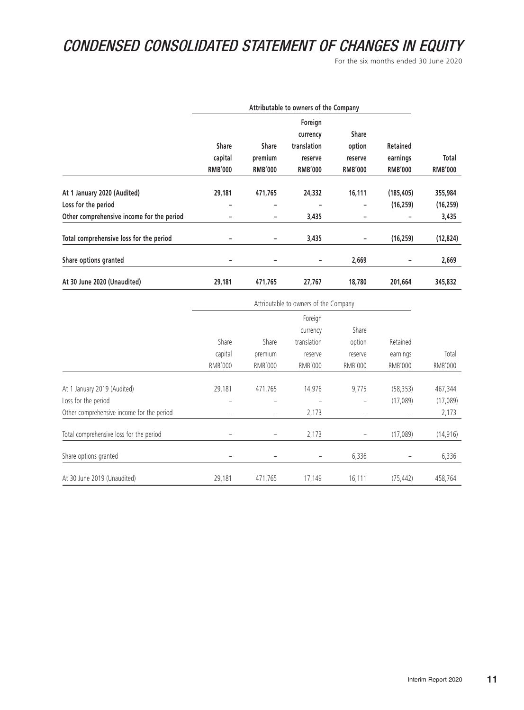# CONDENSED CONSOLIDATED STATEMENT OF CHANGES IN EQUITY

For the six months ended 30 June 2020

|                                           | Attributable to owners of the Company     |                                           |                                          |                                     |                                               |                         |
|-------------------------------------------|-------------------------------------------|-------------------------------------------|------------------------------------------|-------------------------------------|-----------------------------------------------|-------------------------|
|                                           |                                           |                                           | Foreign<br>currency                      | <b>Share</b>                        |                                               |                         |
|                                           | <b>Share</b><br>capital<br><b>RMB'000</b> | <b>Share</b><br>premium<br><b>RMB'000</b> | translation<br>reserve<br><b>RMB'000</b> | option<br>reserve<br><b>RMB'000</b> | <b>Retained</b><br>earnings<br><b>RMB'000</b> | Total<br><b>RMB'000</b> |
|                                           |                                           |                                           |                                          |                                     |                                               |                         |
| At 1 January 2020 (Audited)               | 29,181                                    | 471,765                                   | 24,332                                   | 16,111                              | (185, 405)                                    | 355,984                 |
| Loss for the period                       | ۰                                         | -                                         | -                                        | -                                   | (16, 259)                                     | (16, 259)               |
| Other comprehensive income for the period | ۰                                         | -                                         | 3,435                                    |                                     |                                               | 3,435                   |
| Total comprehensive loss for the period   |                                           |                                           | 3,435                                    |                                     | (16, 259)                                     | (12, 824)               |
| Share options granted                     | -                                         | -                                         | -                                        | 2,669                               |                                               | 2,669                   |
| At 30 June 2020 (Unaudited)               | 29,181                                    | 471,765                                   | 27,767                                   | 18,780                              | 201,664                                       | 345,832                 |

|                                           | Attributable to owners of the Company |                |                |                |                |                |
|-------------------------------------------|---------------------------------------|----------------|----------------|----------------|----------------|----------------|
|                                           |                                       |                |                |                |                |                |
|                                           |                                       |                | currency       | Share          |                |                |
|                                           | Share                                 | Share          | translation    | option         | Retained       |                |
|                                           | capital                               | premium        | reserve        | reserve        | earnings       | Total          |
|                                           | RMB'000                               | <b>RMB'000</b> | <b>RMB'000</b> | <b>RMB'000</b> | <b>RMB'000</b> | <b>RMB'000</b> |
|                                           |                                       |                |                |                |                |                |
| At 1 January 2019 (Audited)               | 29,181                                | 471,765        | 14,976         | 9,775          | (58, 353)      | 467,344        |
| Loss for the period                       |                                       |                |                |                | (17,089)       | (17,089)       |
| Other comprehensive income for the period |                                       |                | 2,173          |                |                | 2,173          |
| Total comprehensive loss for the period   |                                       |                | 2,173          |                | (17,089)       | (14, 916)      |
| Share options granted                     |                                       |                |                | 6,336          |                | 6,336          |
| At 30 June 2019 (Unaudited)               | 29,181                                | 471,765        | 17,149         | 16,111         | (75, 442)      | 458,764        |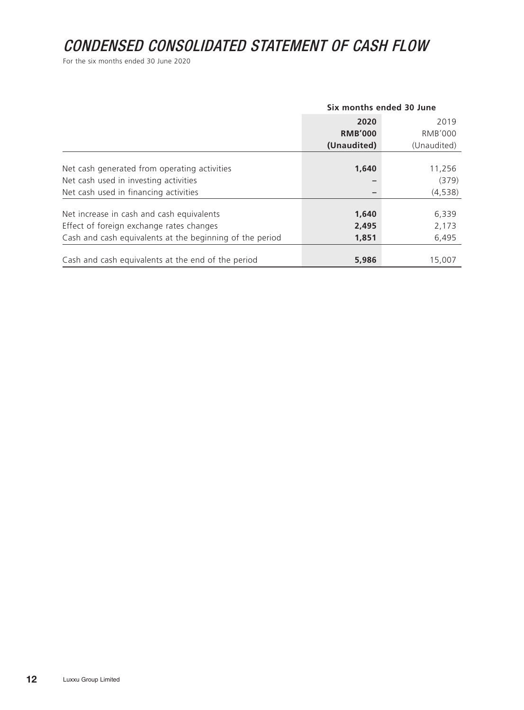# CONDENSED CONSOLIDATED STATEMENT OF CASH FLOW

For the six months ended 30 June 2020

|                                                          | Six months ended 30 June |                |  |
|----------------------------------------------------------|--------------------------|----------------|--|
|                                                          | 2020                     | 2019           |  |
|                                                          | <b>RMB'000</b>           | <b>RMB'000</b> |  |
|                                                          | (Unaudited)              | (Unaudited)    |  |
|                                                          |                          |                |  |
| Net cash generated from operating activities             | 1,640                    | 11,256         |  |
| Net cash used in investing activities                    |                          | (379)          |  |
| Net cash used in financing activities                    |                          | (4, 538)       |  |
| Net increase in cash and cash equivalents                | 1,640                    | 6,339          |  |
| Effect of foreign exchange rates changes                 | 2,495                    | 2,173          |  |
| Cash and cash equivalents at the beginning of the period | 1,851                    | 6,495          |  |
|                                                          |                          |                |  |
| Cash and cash equivalents at the end of the period       | 5,986                    | 15,007         |  |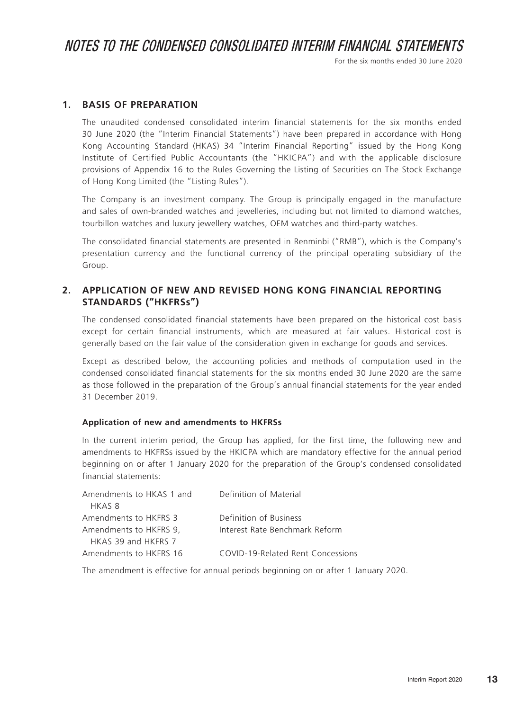For the six months ended 30 June 2020

#### **1. BASIS OF PREPARATION**

The unaudited condensed consolidated interim financial statements for the six months ended 30 June 2020 (the "Interim Financial Statements") have been prepared in accordance with Hong Kong Accounting Standard (HKAS) 34 "Interim Financial Reporting" issued by the Hong Kong Institute of Certified Public Accountants (the "HKICPA") and with the applicable disclosure provisions of Appendix 16 to the Rules Governing the Listing of Securities on The Stock Exchange of Hong Kong Limited (the "Listing Rules").

The Company is an investment company. The Group is principally engaged in the manufacture and sales of own-branded watches and jewelleries, including but not limited to diamond watches, tourbillon watches and luxury jewellery watches, OEM watches and third-party watches.

The consolidated financial statements are presented in Renminbi ("RMB"), which is the Company's presentation currency and the functional currency of the principal operating subsidiary of the Group.

#### **2. APPLICATION OF NEW AND REVISED HONG KONG FINANCIAL REPORTING STANDARDS ("HKFRSs")**

The condensed consolidated financial statements have been prepared on the historical cost basis except for certain financial instruments, which are measured at fair values. Historical cost is generally based on the fair value of the consideration given in exchange for goods and services.

Except as described below, the accounting policies and methods of computation used in the condensed consolidated financial statements for the six months ended 30 June 2020 are the same as those followed in the preparation of the Group's annual financial statements for the year ended 31 December 2019.

#### **Application of new and amendments to HKFRSs**

In the current interim period, the Group has applied, for the first time, the following new and amendments to HKFRSs issued by the HKICPA which are mandatory effective for the annual period beginning on or after 1 January 2020 for the preparation of the Group's condensed consolidated financial statements:

| Amendments to HKAS 1 and | Definition of Material            |
|--------------------------|-----------------------------------|
| HKAS 8                   |                                   |
| Amendments to HKFRS 3    | Definition of Business            |
| Amendments to HKFRS 9,   | Interest Rate Benchmark Reform    |
| HKAS 39 and HKFRS 7      |                                   |
| Amendments to HKFRS 16   | COVID-19-Related Rent Concessions |

The amendment is effective for annual periods beginning on or after 1 January 2020.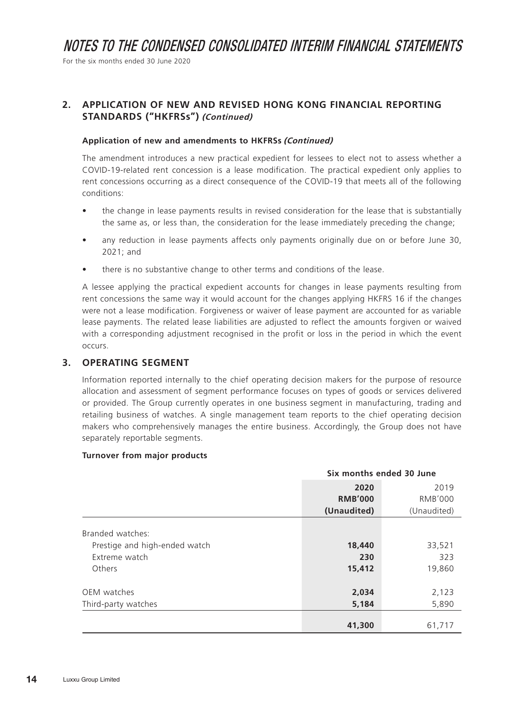For the six months ended 30 June 2020

#### **2. APPLICATION OF NEW AND REVISED HONG KONG FINANCIAL REPORTING STANDARDS ("HKFRSs") (Continued)**

#### **Application of new and amendments to HKFRSs (Continued)**

The amendment introduces a new practical expedient for lessees to elect not to assess whether a COVID-19-related rent concession is a lease modification. The practical expedient only applies to rent concessions occurring as a direct consequence of the COVID-19 that meets all of the following conditions:

- the change in lease payments results in revised consideration for the lease that is substantially the same as, or less than, the consideration for the lease immediately preceding the change;
- any reduction in lease payments affects only payments originally due on or before June 30, 2021; and
- there is no substantive change to other terms and conditions of the lease.

A lessee applying the practical expedient accounts for changes in lease payments resulting from rent concessions the same way it would account for the changes applying HKFRS 16 if the changes were not a lease modification. Forgiveness or waiver of lease payment are accounted for as variable lease payments. The related lease liabilities are adjusted to reflect the amounts forgiven or waived with a corresponding adjustment recognised in the profit or loss in the period in which the event occurs.

#### **3. OPERATING SEGMENT**

Information reported internally to the chief operating decision makers for the purpose of resource allocation and assessment of segment performance focuses on types of goods or services delivered or provided. The Group currently operates in one business segment in manufacturing, trading and retailing business of watches. A single management team reports to the chief operating decision makers who comprehensively manages the entire business. Accordingly, the Group does not have separately reportable segments.

#### **Turnover from major products**

|                                                                              | Six months ended 30 June |                         |  |  |
|------------------------------------------------------------------------------|--------------------------|-------------------------|--|--|
|                                                                              | 2020<br>2019             |                         |  |  |
|                                                                              | <b>RMB'000</b>           | <b>RMB'000</b>          |  |  |
|                                                                              | (Unaudited)              | (Unaudited)             |  |  |
| Branded watches:<br>Prestige and high-ended watch<br>Extreme watch<br>Others | 18,440<br>230<br>15,412  | 33,521<br>323<br>19,860 |  |  |
| OEM watches<br>Third-party watches                                           | 2,034<br>5,184           | 2,123<br>5,890          |  |  |
|                                                                              | 41,300                   | 61,717                  |  |  |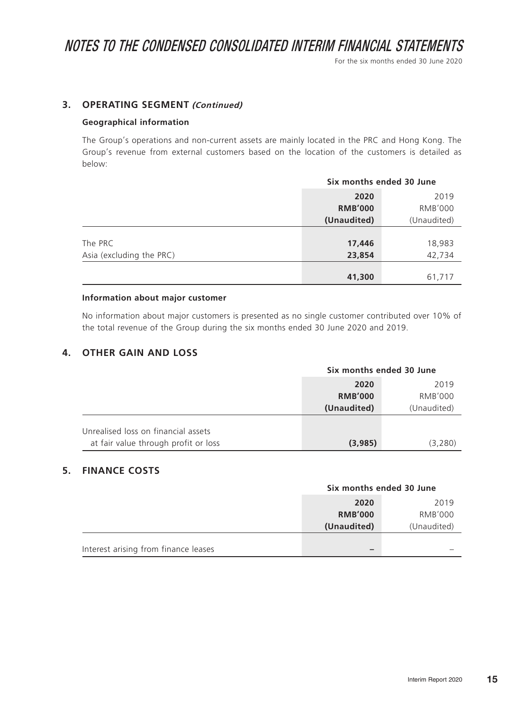For the six months ended 30 June 2020

#### **3. OPERATING SEGMENT (Continued)**

#### **Geographical information**

The Group's operations and non-current assets are mainly located in the PRC and Hong Kong. The Group's revenue from external customers based on the location of the customers is detailed as below:

|                          | Six months ended 30 June         |        |  |
|--------------------------|----------------------------------|--------|--|
|                          | 2019<br>2020                     |        |  |
|                          | <b>RMB'000</b><br><b>RMB'000</b> |        |  |
|                          | (Unaudited)<br>(Unaudited)       |        |  |
|                          |                                  |        |  |
| The PRC                  | 17,446                           | 18,983 |  |
| Asia (excluding the PRC) | 23,854                           | 42,734 |  |
|                          |                                  |        |  |
|                          | 41,300                           | 61,717 |  |

#### **Information about major customer**

No information about major customers is presented as no single customer contributed over 10% of the total revenue of the Group during the six months ended 30 June 2020 and 2019.

#### **4. OTHER GAIN AND LOSS**

|                                      | Six months ended 30 June |             |  |
|--------------------------------------|--------------------------|-------------|--|
|                                      | 2020<br>2019             |             |  |
|                                      | <b>RMB'000</b>           | RMB'000     |  |
|                                      | (Unaudited)              | (Unaudited) |  |
| Unrealised loss on financial assets  |                          |             |  |
| at fair value through profit or loss | (3,985)                  | (3,280)     |  |

#### **5. FINANCE COSTS**

|                                      | Six months ended 30 June |                |  |
|--------------------------------------|--------------------------|----------------|--|
|                                      | 2020                     | 2019           |  |
|                                      | <b>RMB'000</b>           | <b>RMB'000</b> |  |
|                                      | (Unaudited)              | (Unaudited)    |  |
|                                      |                          |                |  |
| Interest arising from finance leases |                          |                |  |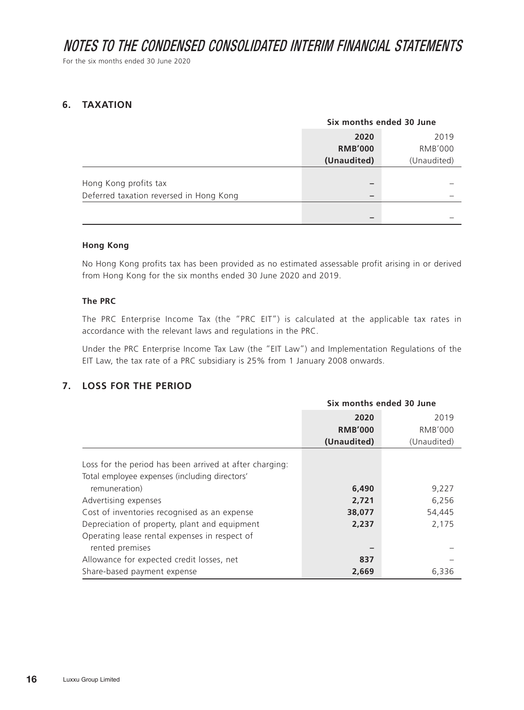For the six months ended 30 June 2020

#### **6. TAXATION**

|                                         | Six months ended 30 June |                |  |
|-----------------------------------------|--------------------------|----------------|--|
|                                         | 2020<br>2019             |                |  |
|                                         | <b>RMB'000</b>           | <b>RMB'000</b> |  |
|                                         | (Unaudited)              | (Unaudited)    |  |
|                                         |                          |                |  |
| Hong Kong profits tax                   |                          |                |  |
| Deferred taxation reversed in Hong Kong |                          |                |  |
|                                         |                          |                |  |
|                                         | –                        |                |  |

#### **Hong Kong**

No Hong Kong profits tax has been provided as no estimated assessable profit arising in or derived from Hong Kong for the six months ended 30 June 2020 and 2019.

#### **The PRC**

The PRC Enterprise Income Tax (the "PRC EIT") is calculated at the applicable tax rates in accordance with the relevant laws and regulations in the PRC.

Under the PRC Enterprise Income Tax Law (the "EIT Law") and Implementation Regulations of the EIT Law, the tax rate of a PRC subsidiary is 25% from 1 January 2008 onwards.

#### **7. LOSS FOR THE PERIOD**

|                                                                                                          | Six months ended 30 June |             |  |
|----------------------------------------------------------------------------------------------------------|--------------------------|-------------|--|
|                                                                                                          | 2020                     | 2019        |  |
|                                                                                                          | <b>RMB'000</b>           | RMB'000     |  |
|                                                                                                          | (Unaudited)              | (Unaudited) |  |
| Loss for the period has been arrived at after charging:<br>Total employee expenses (including directors' |                          |             |  |
| remuneration)                                                                                            | 6,490                    | 9,227       |  |
| Advertising expenses                                                                                     | 2,721                    | 6,256       |  |
| Cost of inventories recognised as an expense                                                             | 38,077                   | 54,445      |  |
| Depreciation of property, plant and equipment                                                            | 2,237                    | 2,175       |  |
| Operating lease rental expenses in respect of<br>rented premises                                         |                          |             |  |
| Allowance for expected credit losses, net                                                                | 837                      |             |  |
| Share-based payment expense                                                                              | 2,669                    | 6,336       |  |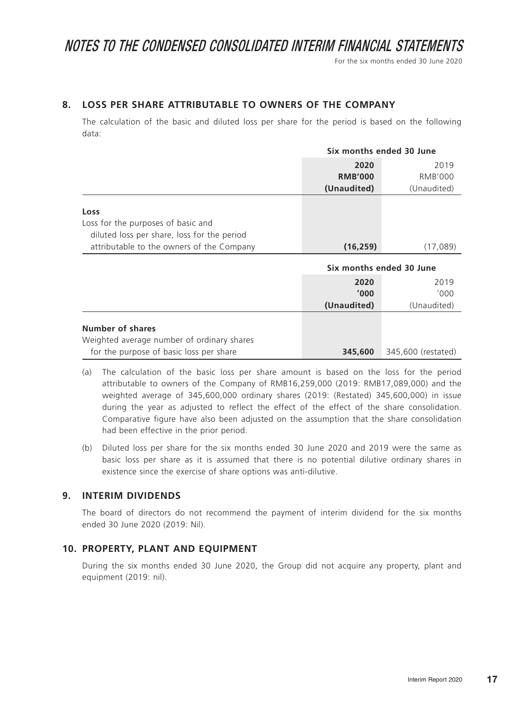For the six months ended 30 June 2020

#### **8. LOSS PER SHARE ATTRIBUTABLE TO OWNERS OF THE COMPANY**

The calculation of the basic and diluted loss per share for the period is based on the following data:

|                                                                                                           |                | Six months ended 30 June |  |  |
|-----------------------------------------------------------------------------------------------------------|----------------|--------------------------|--|--|
|                                                                                                           | 2020           | 2019                     |  |  |
|                                                                                                           | <b>RMB'000</b> | <b>RMB'000</b>           |  |  |
|                                                                                                           | (Unaudited)    | (Unaudited)              |  |  |
| Loss<br>Loss for the purposes of basic and<br>diluted loss per share, loss for the period                 |                |                          |  |  |
| attributable to the owners of the Company                                                                 | (16, 259)      | (17,089)                 |  |  |
|                                                                                                           |                | Six months ended 30 June |  |  |
|                                                                                                           | 2020           | 2019                     |  |  |
|                                                                                                           | '000'          | '000'                    |  |  |
|                                                                                                           | (Unaudited)    | (Unaudited)              |  |  |
| Number of shares<br>Weighted average number of ordinary shares<br>for the purpose of basic loss per share | 345,600        | 345,600 (restated)       |  |  |

- (a) The calculation of the basic loss per share amount is based on the loss for the period attributable to owners of the Company of RMB16,259,000 (2019: RMB17,089,000) and the weighted average of 345,600,000 ordinary shares (2019: (Restated) 345,600,000) in issue during the year as adjusted to reflect the effect of the effect of the share consolidation. Comparative figure have also been adjusted on the assumption that the share consolidation had been effective in the prior period.
- (b) Diluted loss per share for the six months ended 30 June 2020 and 2019 were the same as basic loss per share as it is assumed that there is no potential dilutive ordinary shares in existence since the exercise of share options was anti-dilutive.

#### **9. INTERIM DIVIDENDS**

The board of directors do not recommend the payment of interim dividend for the six months ended 30 June 2020 (2019: Nil).

#### **10. PROPERTY, PLANT AND EQUIPMENT**

During the six months ended 30 June 2020, the Group did not acquire any property, plant and equipment (2019: nil).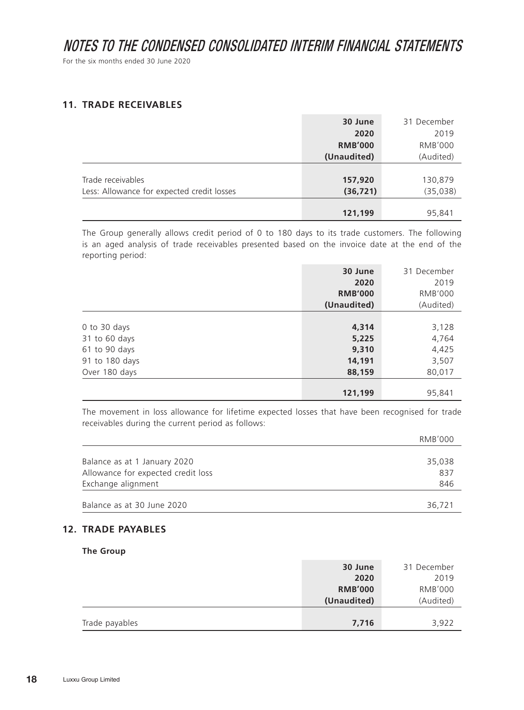For the six months ended 30 June 2020

#### **11. TRADE RECEIVABLES**

|                                            | 30 June        | 31 December    |
|--------------------------------------------|----------------|----------------|
|                                            | 2020           | 2019           |
|                                            | <b>RMB'000</b> | <b>RMB'000</b> |
|                                            | (Unaudited)    | (Audited)      |
|                                            |                |                |
| Trade receivables                          | 157,920        | 130,879        |
| Less: Allowance for expected credit losses | (36, 721)      | (35, 038)      |
|                                            |                |                |
|                                            | 121,199        | 95,841         |

The Group generally allows credit period of 0 to 180 days to its trade customers. The following is an aged analysis of trade receivables presented based on the invoice date at the end of the reporting period:

|                | 31 December<br>30 June |                |  |
|----------------|------------------------|----------------|--|
|                | 2020                   |                |  |
|                | <b>RMB'000</b>         | <b>RMB'000</b> |  |
|                | (Unaudited)            | (Audited)      |  |
|                |                        |                |  |
| 0 to 30 days   | 4,314                  | 3,128          |  |
| 31 to 60 days  | 5,225                  | 4,764          |  |
| 61 to 90 days  | 9,310                  | 4,425          |  |
| 91 to 180 days | 14,191                 | 3,507          |  |
| Over 180 days  | 88,159                 | 80,017         |  |
|                |                        |                |  |
|                | 121,199                | 95,841         |  |

The movement in loss allowance for lifetime expected losses that have been recognised for trade receivables during the current period as follows:

|                                    | RMB'000 |
|------------------------------------|---------|
| Balance as at 1 January 2020       | 35,038  |
| Allowance for expected credit loss | 837     |
| Exchange alignment                 | 846     |
| Balance as at 30 June 2020         | 36,721  |

#### **12. TRADE PAYABLES**

#### **The Group**

|                | 30 June        | 31 December    |
|----------------|----------------|----------------|
|                | 2020           | 2019           |
|                | <b>RMB'000</b> | <b>RMB'000</b> |
|                | (Unaudited)    | (Audited)      |
|                |                |                |
| Trade payables | 7,716          | 3,922          |
|                |                |                |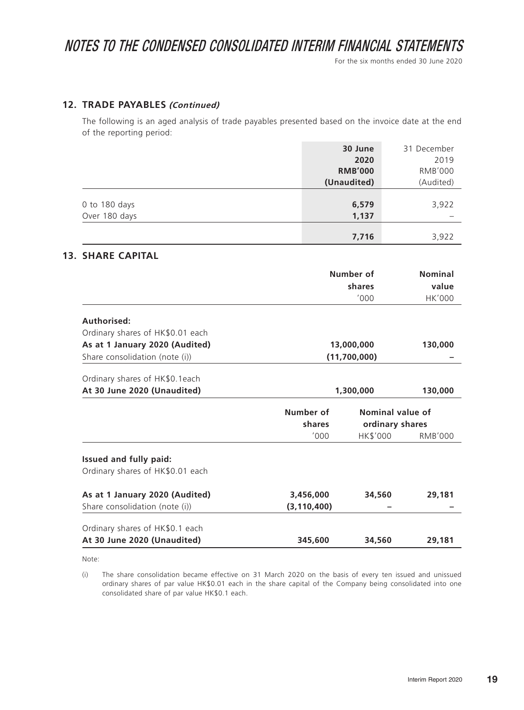For the six months ended 30 June 2020

#### **12. TRADE PAYABLES (Continued)**

The following is an aged analysis of trade payables presented based on the invoice date at the end of the reporting period:

|                                                 |               | 30 June<br>2020<br><b>RMB'000</b><br>(Unaudited) | 31 December<br>2019<br><b>RMB'000</b><br>(Audited) |  |
|-------------------------------------------------|---------------|--------------------------------------------------|----------------------------------------------------|--|
| 0 to 180 days<br>Over 180 days                  |               | 6,579<br>1,137                                   | 3,922                                              |  |
|                                                 |               | 7,716                                            | 3,922                                              |  |
| <b>13. SHARE CAPITAL</b>                        |               |                                                  |                                                    |  |
|                                                 |               | Number of                                        | <b>Nominal</b>                                     |  |
|                                                 |               | shares                                           | value                                              |  |
|                                                 |               | '000                                             | <b>HK'000</b>                                      |  |
| Authorised:<br>Ordinary shares of HK\$0.01 each |               |                                                  |                                                    |  |
| As at 1 January 2020 (Audited)                  | 13,000,000    | 130,000                                          |                                                    |  |
| Share consolidation (note (i))                  |               | (11,700,000)                                     |                                                    |  |
| Ordinary shares of HK\$0.1each                  |               |                                                  |                                                    |  |
| At 30 June 2020 (Unaudited)                     |               | 1,300,000                                        | 130,000                                            |  |
|                                                 | Number of     | Nominal value of                                 |                                                    |  |
|                                                 | shares        | ordinary shares                                  |                                                    |  |
|                                                 | '000          | HK\$'000                                         | <b>RMB'000</b>                                     |  |
| Issued and fully paid:                          |               |                                                  |                                                    |  |
| Ordinary shares of HK\$0.01 each                |               |                                                  |                                                    |  |
| As at 1 January 2020 (Audited)                  | 3,456,000     | 34,560                                           | 29,181                                             |  |
| Share consolidation (note (i))                  | (3, 110, 400) |                                                  |                                                    |  |
| Ordinary shares of HK\$0.1 each                 |               |                                                  |                                                    |  |
| At 30 June 2020 (Unaudited)                     | 345,600       | 34,560                                           | 29,181                                             |  |

Note:

(i) The share consolidation became effective on 31 March 2020 on the basis of every ten issued and unissued ordinary shares of par value HK\$0.01 each in the share capital of the Company being consolidated into one consolidated share of par value HK\$0.1 each.